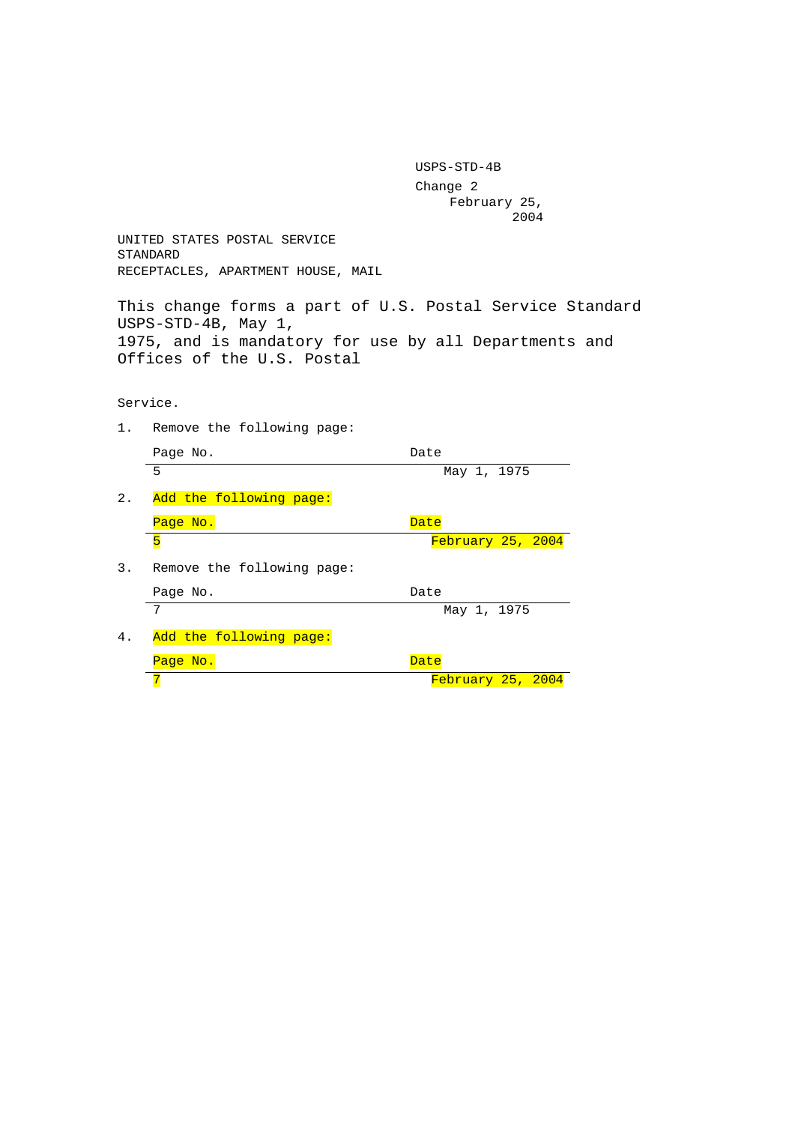USPS-STD-4B Change 2 February 25, 2004

UNITED STATES POSTAL SERVICE STANDARD RECEPTACLES, APARTMENT HOUSE, MAIL

This change forms a part of U.S. Postal Service Standard USPS-STD-4B, May 1, 1975, and is mandatory for use by all Departments and Offices of the U.S. Postal

Service.

1. Remove the following page:

|    | Page No.                   | Date              |
|----|----------------------------|-------------------|
|    | 5                          | May 1, 1975       |
| 2. | Add the following page:    |                   |
|    | Page No.                   | Date              |
|    | 5                          | February 25, 2004 |
| 3. | Remove the following page: |                   |
|    | Page No.                   | Date              |
|    | 7                          | May 1, 1975       |
| 4. | Add the following page:    |                   |
|    | Page No.                   | Date              |
|    |                            | February 25, 2004 |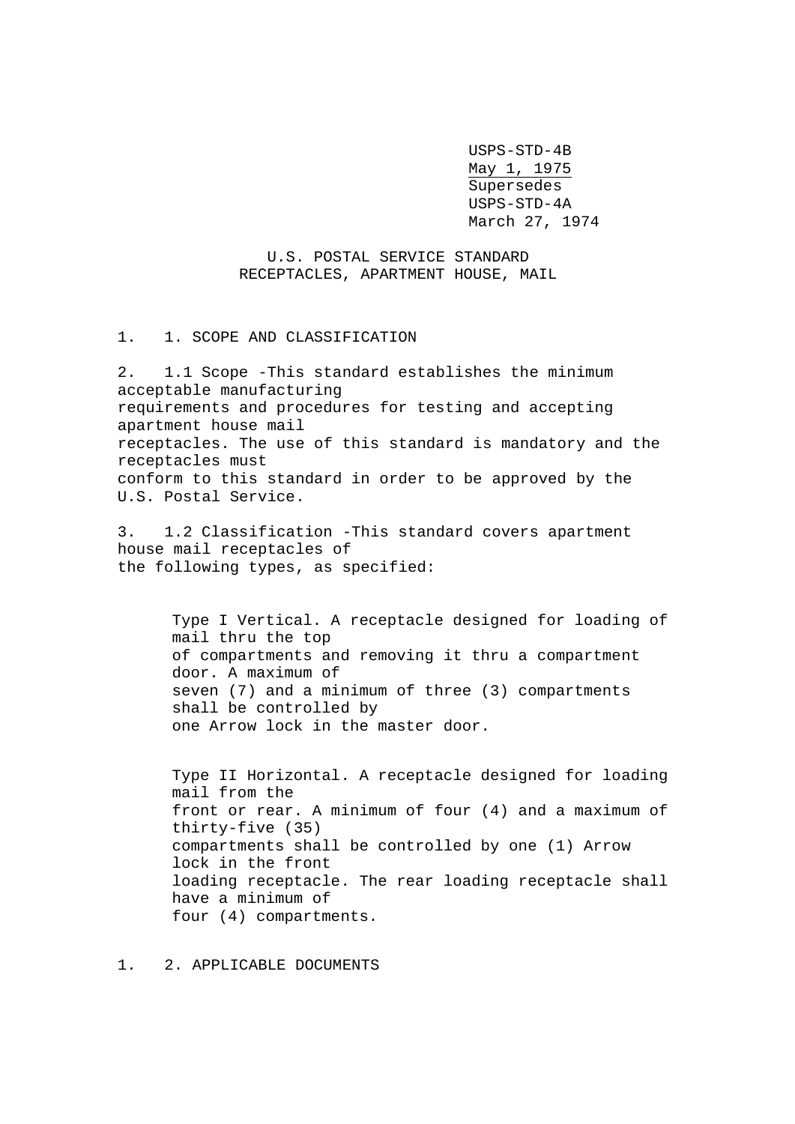USPS-STD-4B May 1, 1975 Supersedes USPS-STD-4A March 27, 1974

# U.S. POSTAL SERVICE STANDARD RECEPTACLES, APARTMENT HOUSE, MAIL

1. 1. SCOPE AND CLASSIFICATION

2. 1.1 Scope -This standard establishes the minimum acceptable manufacturing requirements and procedures for testing and accepting apartment house mail receptacles. The use of this standard is mandatory and the receptacles must conform to this standard in order to be approved by the U.S. Postal Service.

3. 1.2 Classification -This standard covers apartment house mail receptacles of the following types, as specified:

> Type I Vertical. A receptacle designed for loading of mail thru the top of compartments and removing it thru a compartment door. A maximum of seven (7) and a minimum of three (3) compartments shall be controlled by one Arrow lock in the master door.

> Type II Horizontal. A receptacle designed for loading mail from the front or rear. A minimum of four (4) and a maximum of thirty-five (35) compartments shall be controlled by one (1) Arrow lock in the front loading receptacle. The rear loading receptacle shall have a minimum of four (4) compartments.

1. 2. APPLICABLE DOCUMENTS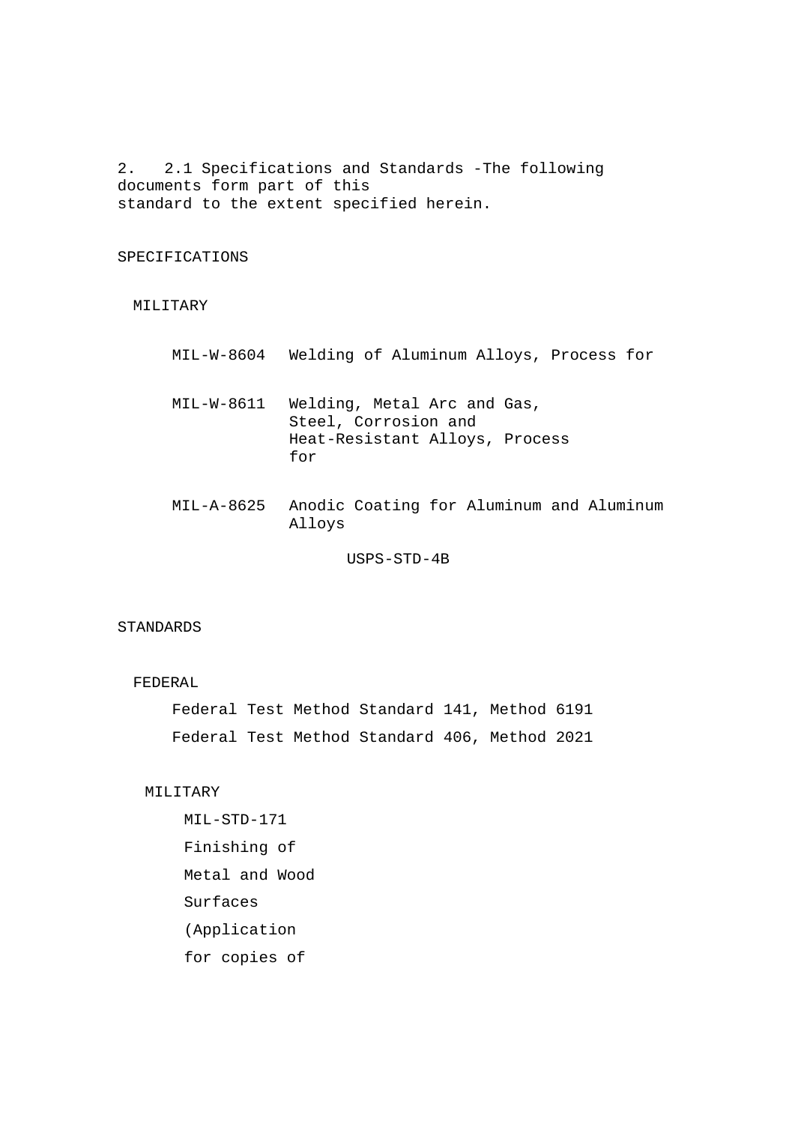2. 2.1 Specifications and Standards -The following documents form part of this standard to the extent specified herein.

#### SPECIFICATIONS

#### MILITARY

- MIL-W-8604 Welding of Aluminum Alloys, Process for
- MIL-W-8611 Welding, Metal Arc and Gas, Steel, Corrosion and Heat-Resistant Alloys, Process for
- MIL-A-8625 Anodic Coating for Aluminum and Aluminum Alloys

USPS-STD-4B

# STANDARDS

### FEDERAL

Federal Test Method Standard 141, Method 6191 Federal Test Method Standard 406, Method 2021

# MILITARY

MIL-STD-171 Finishing of Metal and Wood Surfaces (Application for copies of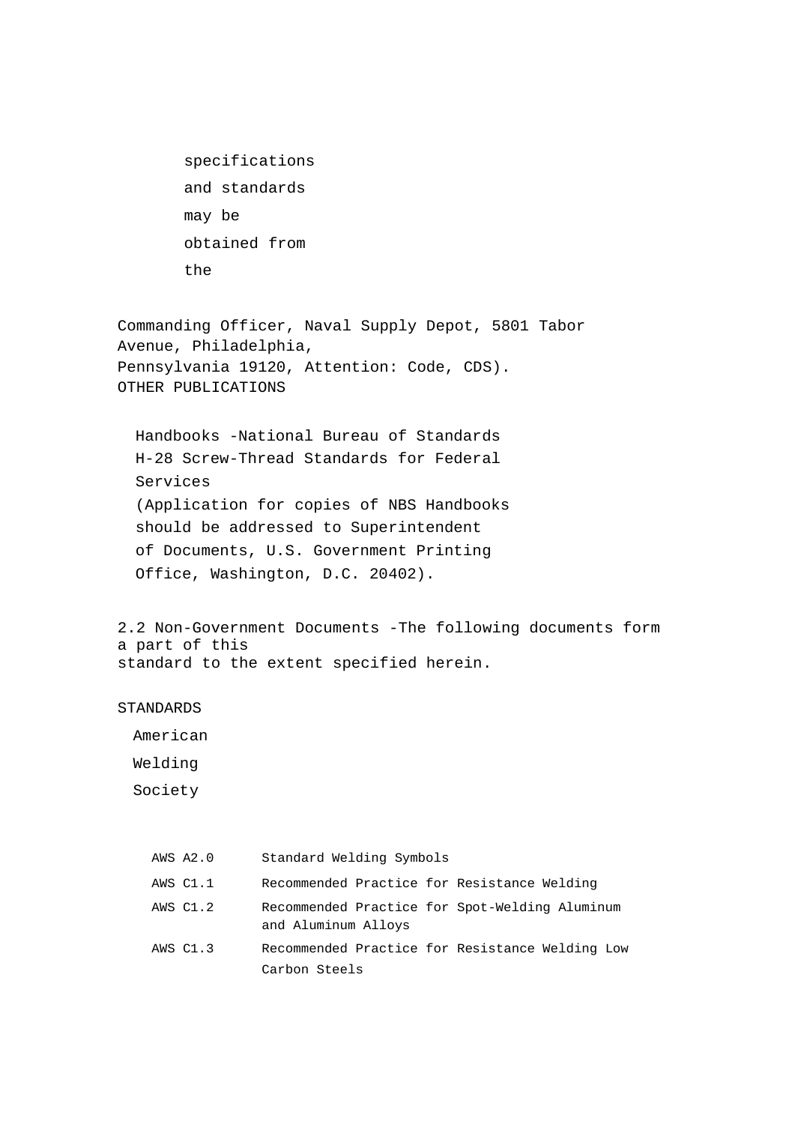specifications and standards may be obtained from the

Commanding Officer, Naval Supply Depot, 5801 Tabor Avenue, Philadelphia, Pennsylvania 19120, Attention: Code, CDS). OTHER PUBLICATIONS

Handbooks -National Bureau of Standards H-28 Screw-Thread Standards for Federal Services (Application for copies of NBS Handbooks should be addressed to Superintendent of Documents, U.S. Government Printing Office, Washington, D.C. 20402).

2.2 Non-Government Documents -The following documents form a part of this standard to the extent specified herein.

#### STANDARDS

American

Welding

Society

| AWS A2.0 | Standard Welding Symbols                                              |
|----------|-----------------------------------------------------------------------|
| AWS C1.1 | Recommended Practice for Resistance Welding                           |
| AWS C1.2 | Recommended Practice for Spot-Welding Aluminum<br>and Aluminum Alloys |
| AWS C1.3 | Recommended Practice for Resistance Welding Low                       |
|          | Carbon Steels                                                         |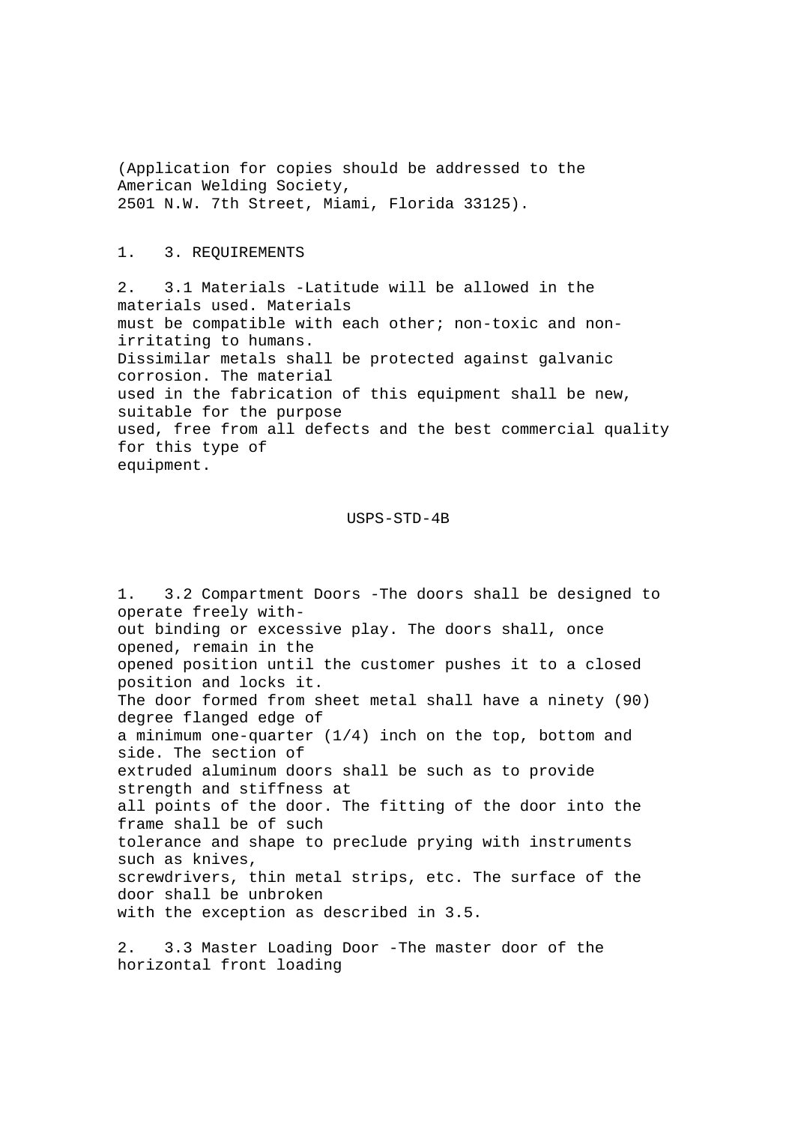(Application for copies should be addressed to the American Welding Society, 2501 N.W. 7th Street, Miami, Florida 33125).

#### 1. 3. REQUIREMENTS

2. 3.1 Materials -Latitude will be allowed in the materials used. Materials must be compatible with each other; non-toxic and nonirritating to humans. Dissimilar metals shall be protected against galvanic corrosion. The material used in the fabrication of this equipment shall be new, suitable for the purpose used, free from all defects and the best commercial quality for this type of equipment.

# USPS-STD-4B

1. 3.2 Compartment Doors -The doors shall be designed to operate freely without binding or excessive play. The doors shall, once opened, remain in the opened position until the customer pushes it to a closed position and locks it. The door formed from sheet metal shall have a ninety (90) degree flanged edge of a minimum one-quarter  $(1/4)$  inch on the top, bottom and side. The section of extruded aluminum doors shall be such as to provide strength and stiffness at all points of the door. The fitting of the door into the frame shall be of such tolerance and shape to preclude prying with instruments such as knives, screwdrivers, thin metal strips, etc. The surface of the door shall be unbroken with the exception as described in 3.5.

2. 3.3 Master Loading Door -The master door of the horizontal front loading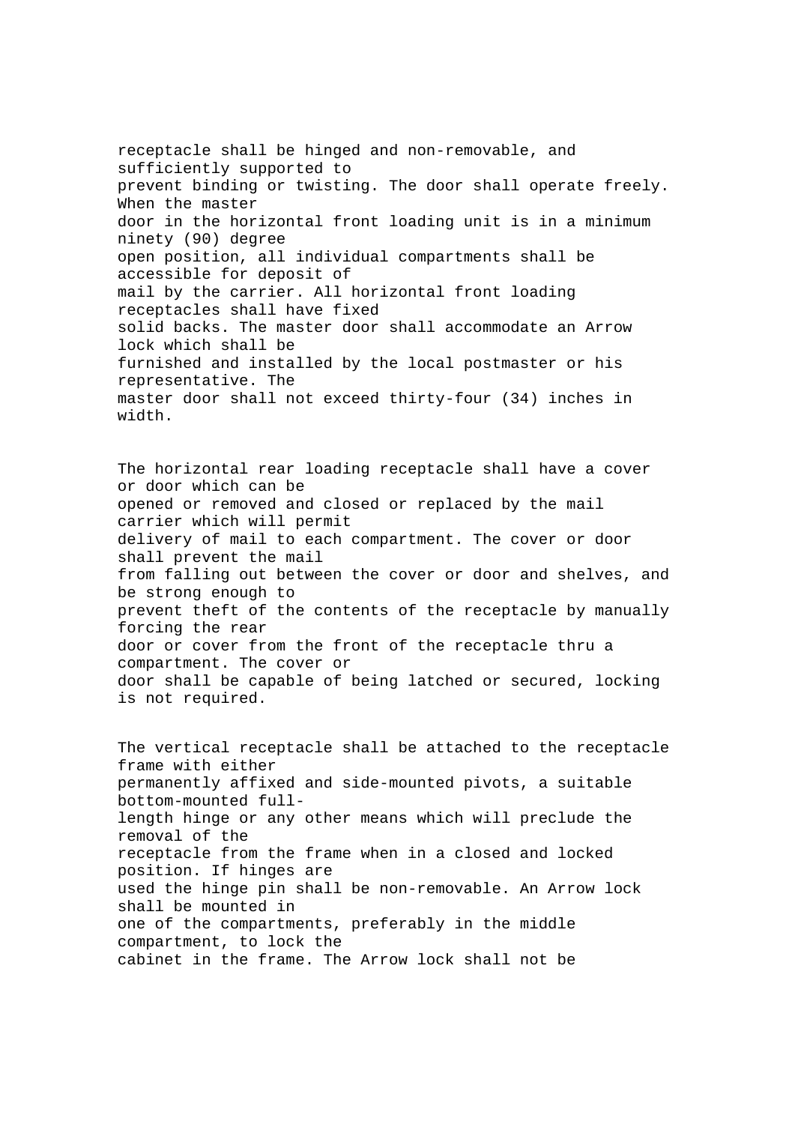receptacle shall be hinged and non-removable, and sufficiently supported to prevent binding or twisting. The door shall operate freely. When the master door in the horizontal front loading unit is in a minimum ninety (90) degree open position, all individual compartments shall be accessible for deposit of mail by the carrier. All horizontal front loading receptacles shall have fixed solid backs. The master door shall accommodate an Arrow lock which shall be furnished and installed by the local postmaster or his representative. The master door shall not exceed thirty-four (34) inches in width.

The horizontal rear loading receptacle shall have a cover or door which can be opened or removed and closed or replaced by the mail carrier which will permit delivery of mail to each compartment. The cover or door shall prevent the mail from falling out between the cover or door and shelves, and be strong enough to prevent theft of the contents of the receptacle by manually forcing the rear door or cover from the front of the receptacle thru a compartment. The cover or door shall be capable of being latched or secured, locking is not required.

The vertical receptacle shall be attached to the receptacle frame with either permanently affixed and side-mounted pivots, a suitable bottom-mounted fulllength hinge or any other means which will preclude the removal of the receptacle from the frame when in a closed and locked position. If hinges are used the hinge pin shall be non-removable. An Arrow lock shall be mounted in one of the compartments, preferably in the middle compartment, to lock the cabinet in the frame. The Arrow lock shall not be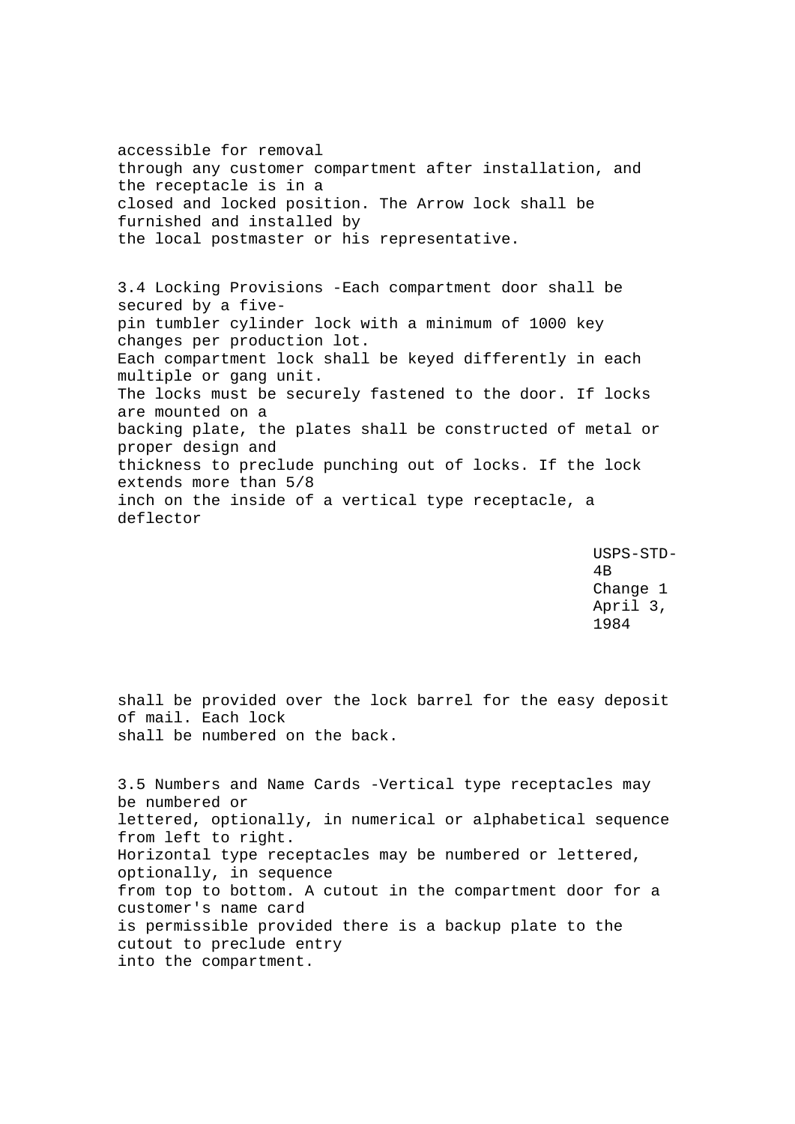accessible for removal through any customer compartment after installation, and the receptacle is in a closed and locked position. The Arrow lock shall be furnished and installed by the local postmaster or his representative.

3.4 Locking Provisions -Each compartment door shall be secured by a fivepin tumbler cylinder lock with a minimum of 1000 key changes per production lot. Each compartment lock shall be keyed differently in each multiple or gang unit. The locks must be securely fastened to the door. If locks are mounted on a backing plate, the plates shall be constructed of metal or proper design and thickness to preclude punching out of locks. If the lock extends more than 5/8 inch on the inside of a vertical type receptacle, a deflector

> USPS-STD-4B Change 1 April 3, 1984

shall be provided over the lock barrel for the easy deposit of mail. Each lock shall be numbered on the back.

3.5 Numbers and Name Cards -Vertical type receptacles may be numbered or lettered, optionally, in numerical or alphabetical sequence from left to right. Horizontal type receptacles may be numbered or lettered, optionally, in sequence from top to bottom. A cutout in the compartment door for a customer's name card is permissible provided there is a backup plate to the cutout to preclude entry into the compartment.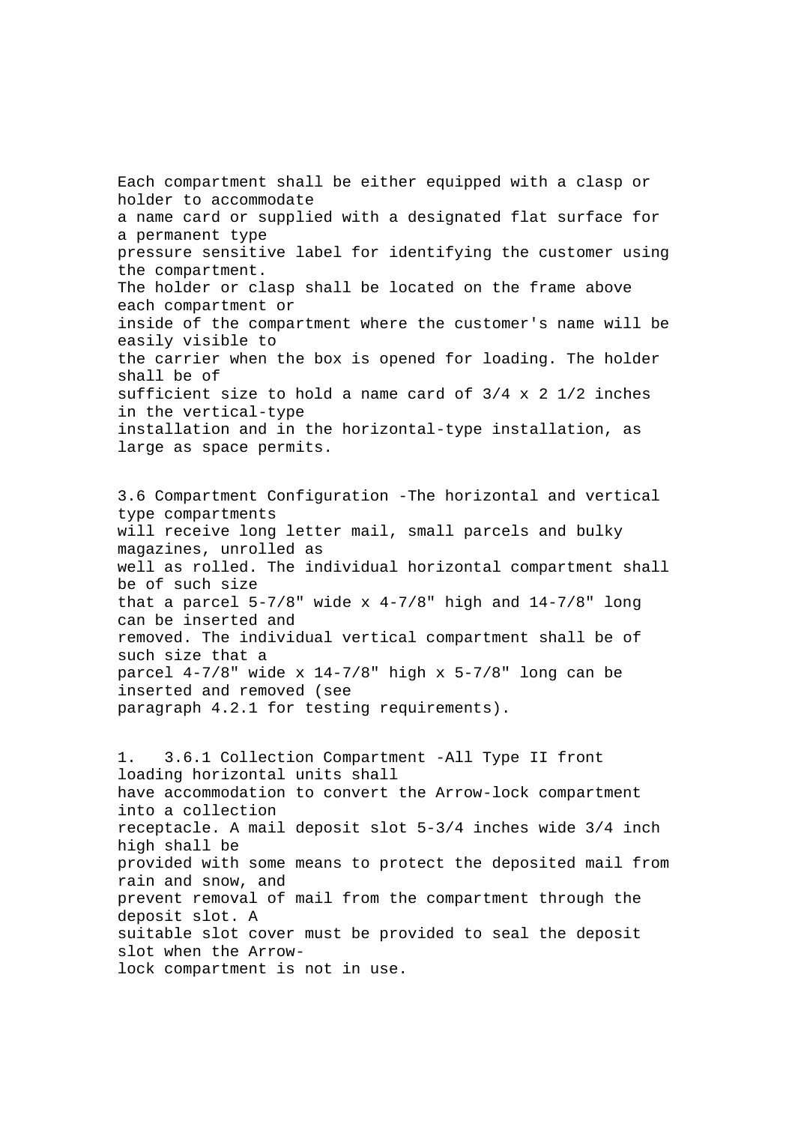Each compartment shall be either equipped with a clasp or holder to accommodate a name card or supplied with a designated flat surface for a permanent type pressure sensitive label for identifying the customer using the compartment. The holder or clasp shall be located on the frame above each compartment or inside of the compartment where the customer's name will be easily visible to the carrier when the box is opened for loading. The holder shall be of sufficient size to hold a name card of  $3/4 \times 2$  1/2 inches in the vertical-type installation and in the horizontal-type installation, as large as space permits.

3.6 Compartment Configuration -The horizontal and vertical type compartments will receive long letter mail, small parcels and bulky magazines, unrolled as well as rolled. The individual horizontal compartment shall be of such size that a parcel  $5-7/8$ " wide x  $4-7/8$ " high and  $14-7/8$ " long can be inserted and removed. The individual vertical compartment shall be of such size that a parcel  $4-7/8$ " wide x  $14-7/8$ " high x  $5-7/8$ " long can be inserted and removed (see paragraph 4.2.1 for testing requirements).

1. 3.6.1 Collection Compartment -All Type II front loading horizontal units shall have accommodation to convert the Arrow-lock compartment into a collection receptacle. A mail deposit slot 5-3/4 inches wide 3/4 inch high shall be provided with some means to protect the deposited mail from rain and snow, and prevent removal of mail from the compartment through the deposit slot. A suitable slot cover must be provided to seal the deposit slot when the Arrowlock compartment is not in use.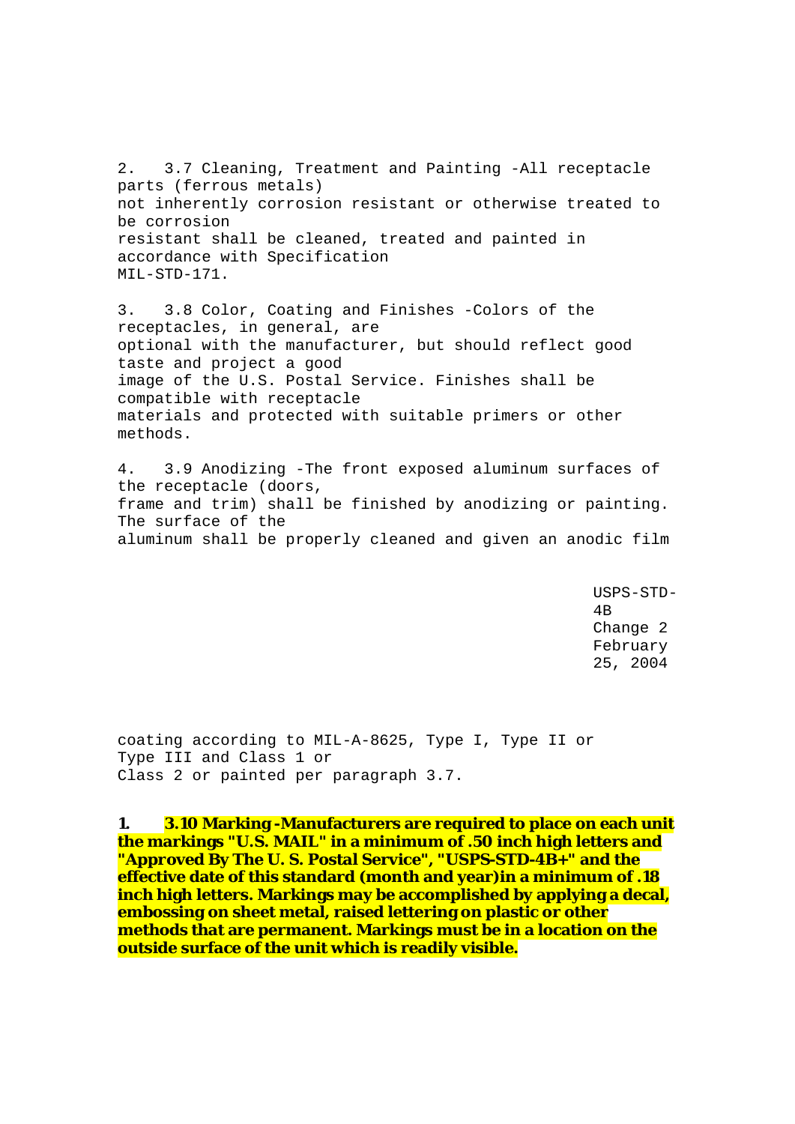2. 3.7 Cleaning, Treatment and Painting -All receptacle parts (ferrous metals) not inherently corrosion resistant or otherwise treated to be corrosion resistant shall be cleaned, treated and painted in accordance with Specification MIL-STD-171.

3. 3.8 Color, Coating and Finishes -Colors of the receptacles, in general, are optional with the manufacturer, but should reflect good taste and project a good image of the U.S. Postal Service. Finishes shall be compatible with receptacle materials and protected with suitable primers or other methods.

4. 3.9 Anodizing -The front exposed aluminum surfaces of the receptacle (doors, frame and trim) shall be finished by anodizing or painting. The surface of the aluminum shall be properly cleaned and given an anodic film

> USPS-STD-4B Change 2 February 25, 2004

coating according to MIL-A-8625, Type I, Type II or Type III and Class 1 or Class 2 or painted per paragraph 3.7.

**1. 3.10 Marking -Manufacturers are required to place on each unit the markings "U.S. MAIL" in a minimum of .50 inch high letters and "Approved By The U. S. Postal Service", "USPS-STD-4B+" and the effective date of this standard (month and year)in a minimum of .18 inch high letters. Markings may be accomplished by applying a decal, embossing on sheet metal, raised lettering on plastic or other methods that are permanent. Markings must be in a location on the outside surface of the unit which is readily visible.**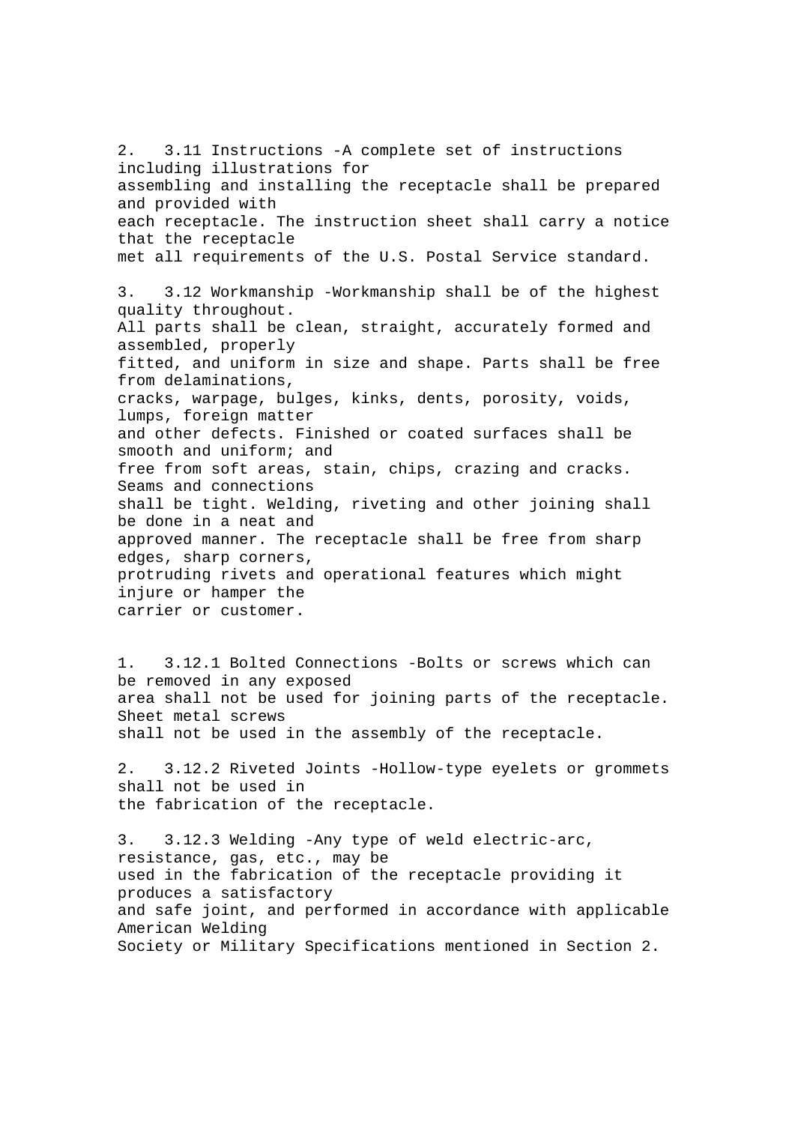2. 3.11 Instructions -A complete set of instructions including illustrations for assembling and installing the receptacle shall be prepared and provided with each receptacle. The instruction sheet shall carry a notice that the receptacle met all requirements of the U.S. Postal Service standard. 3. 3.12 Workmanship -Workmanship shall be of the highest quality throughout. All parts shall be clean, straight, accurately formed and assembled, properly fitted, and uniform in size and shape. Parts shall be free from delaminations, cracks, warpage, bulges, kinks, dents, porosity, voids, lumps, foreign matter and other defects. Finished or coated surfaces shall be smooth and uniform; and free from soft areas, stain, chips, crazing and cracks. Seams and connections shall be tight. Welding, riveting and other joining shall be done in a neat and approved manner. The receptacle shall be free from sharp edges, sharp corners, protruding rivets and operational features which might injure or hamper the carrier or customer.

1. 3.12.1 Bolted Connections -Bolts or screws which can be removed in any exposed area shall not be used for joining parts of the receptacle. Sheet metal screws shall not be used in the assembly of the receptacle.

2. 3.12.2 Riveted Joints -Hollow-type eyelets or grommets shall not be used in the fabrication of the receptacle.

3. 3.12.3 Welding -Any type of weld electric-arc, resistance, gas, etc., may be used in the fabrication of the receptacle providing it produces a satisfactory and safe joint, and performed in accordance with applicable American Welding Society or Military Specifications mentioned in Section 2.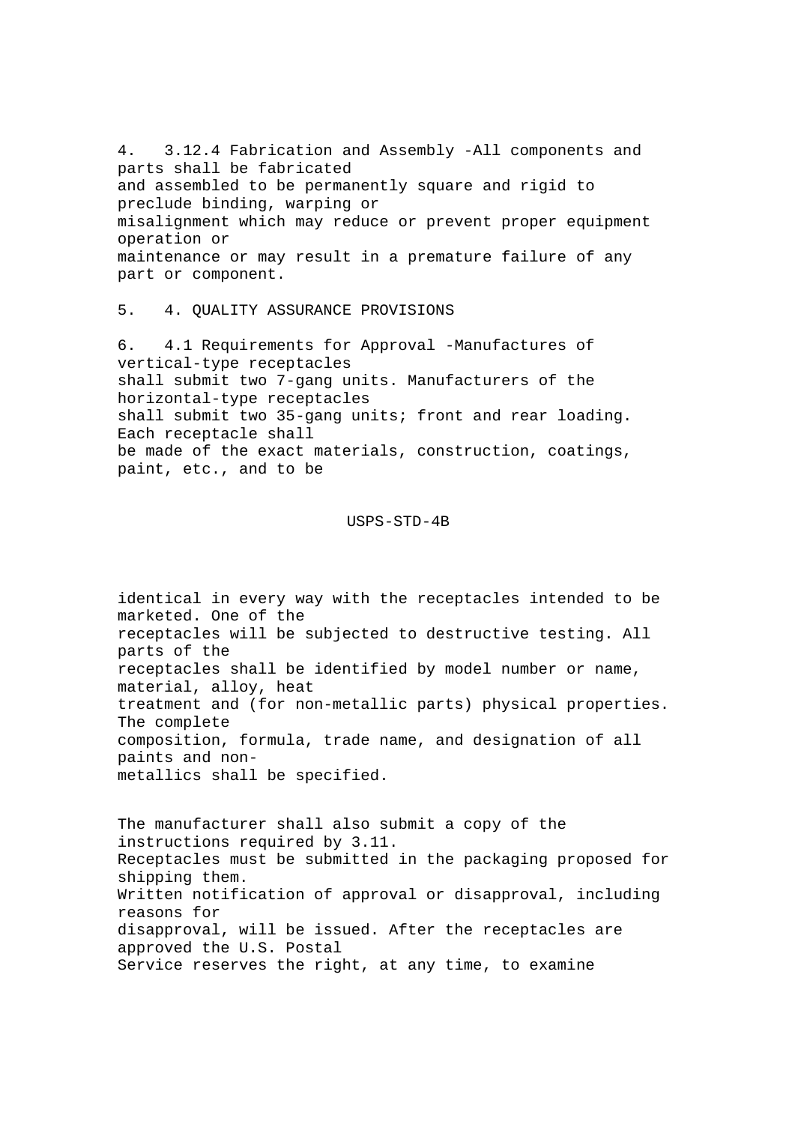4. 3.12.4 Fabrication and Assembly -All components and parts shall be fabricated and assembled to be permanently square and rigid to preclude binding, warping or misalignment which may reduce or prevent proper equipment operation or maintenance or may result in a premature failure of any part or component.

5. 4. QUALITY ASSURANCE PROVISIONS

6. 4.1 Requirements for Approval -Manufactures of vertical-type receptacles shall submit two 7-gang units. Manufacturers of the horizontal-type receptacles shall submit two 35-gang units; front and rear loading. Each receptacle shall be made of the exact materials, construction, coatings, paint, etc., and to be

#### USPS-STD-4B

identical in every way with the receptacles intended to be marketed. One of the receptacles will be subjected to destructive testing. All parts of the receptacles shall be identified by model number or name, material, alloy, heat treatment and (for non-metallic parts) physical properties. The complete composition, formula, trade name, and designation of all paints and nonmetallics shall be specified.

The manufacturer shall also submit a copy of the instructions required by 3.11. Receptacles must be submitted in the packaging proposed for shipping them. Written notification of approval or disapproval, including reasons for disapproval, will be issued. After the receptacles are approved the U.S. Postal Service reserves the right, at any time, to examine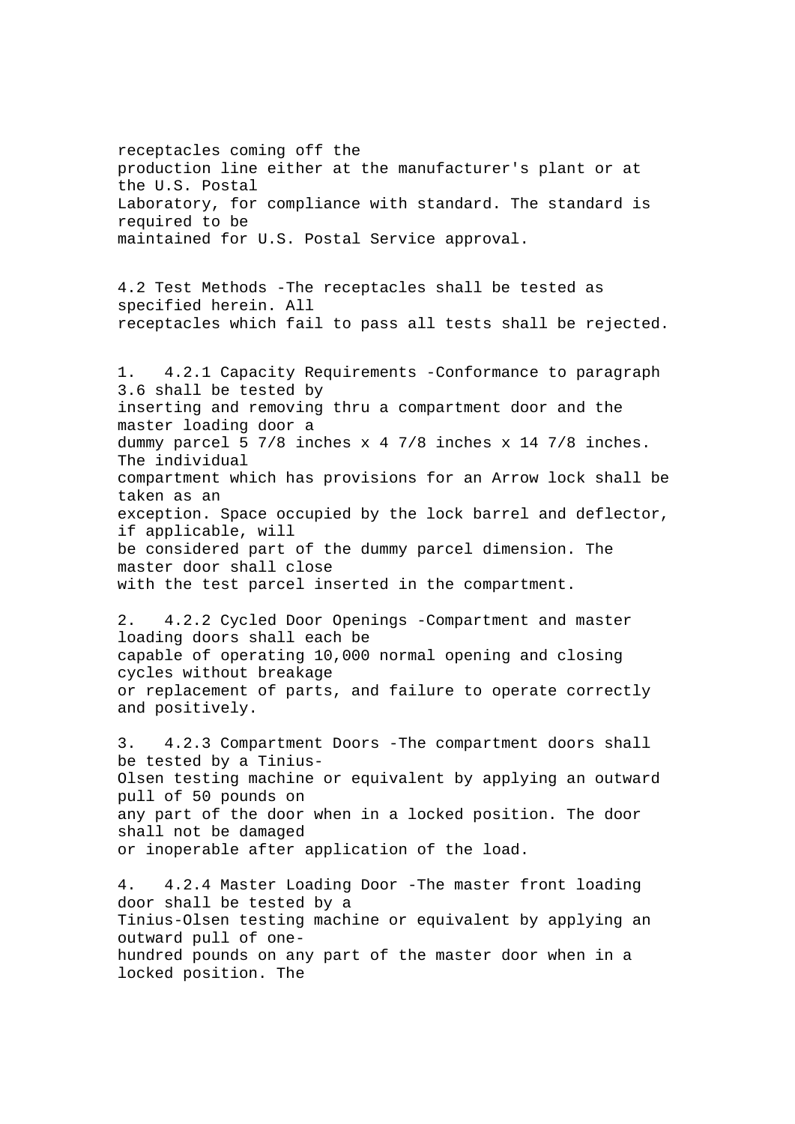receptacles coming off the production line either at the manufacturer's plant or at the U.S. Postal Laboratory, for compliance with standard. The standard is required to be maintained for U.S. Postal Service approval.

4.2 Test Methods -The receptacles shall be tested as specified herein. All receptacles which fail to pass all tests shall be rejected.

1. 4.2.1 Capacity Requirements -Conformance to paragraph 3.6 shall be tested by inserting and removing thru a compartment door and the master loading door a dummy parcel 5 7/8 inches x 4 7/8 inches x 14 7/8 inches. The individual compartment which has provisions for an Arrow lock shall be taken as an exception. Space occupied by the lock barrel and deflector, if applicable, will be considered part of the dummy parcel dimension. The master door shall close

with the test parcel inserted in the compartment.

2. 4.2.2 Cycled Door Openings -Compartment and master loading doors shall each be capable of operating 10,000 normal opening and closing cycles without breakage or replacement of parts, and failure to operate correctly and positively.

3. 4.2.3 Compartment Doors -The compartment doors shall be tested by a Tinius-Olsen testing machine or equivalent by applying an outward pull of 50 pounds on any part of the door when in a locked position. The door shall not be damaged or inoperable after application of the load.

4. 4.2.4 Master Loading Door -The master front loading door shall be tested by a Tinius-Olsen testing machine or equivalent by applying an outward pull of onehundred pounds on any part of the master door when in a locked position. The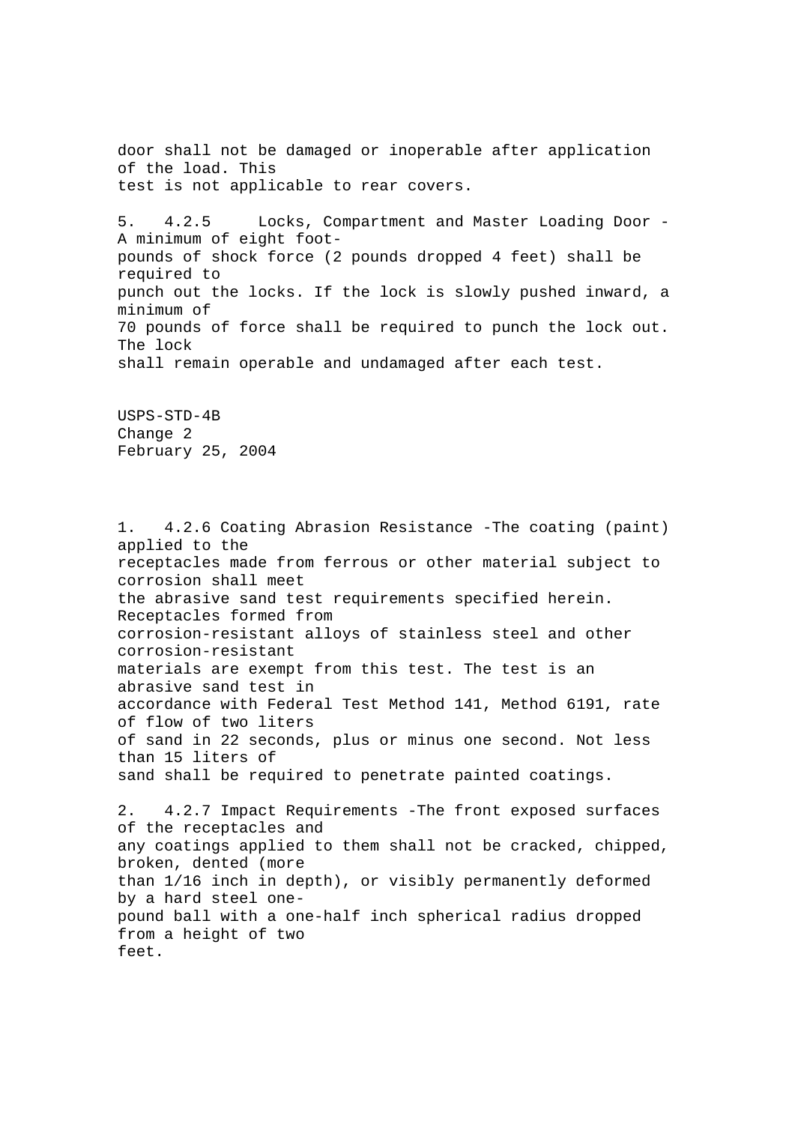door shall not be damaged or inoperable after application of the load. This test is not applicable to rear covers.

5. 4.2.5 Locks, Compartment and Master Loading Door - A minimum of eight footpounds of shock force (2 pounds dropped 4 feet) shall be required to punch out the locks. If the lock is slowly pushed inward, a minimum of 70 pounds of force shall be required to punch the lock out. The lock shall remain operable and undamaged after each test.

USPS-STD-4B Change 2 February 25, 2004

1. 4.2.6 Coating Abrasion Resistance -The coating (paint) applied to the receptacles made from ferrous or other material subject to corrosion shall meet the abrasive sand test requirements specified herein. Receptacles formed from corrosion-resistant alloys of stainless steel and other corrosion-resistant materials are exempt from this test. The test is an abrasive sand test in accordance with Federal Test Method 141, Method 6191, rate of flow of two liters of sand in 22 seconds, plus or minus one second. Not less than 15 liters of sand shall be required to penetrate painted coatings. 2. 4.2.7 Impact Requirements -The front exposed surfaces of the receptacles and any coatings applied to them shall not be cracked, chipped, broken, dented (more than 1/16 inch in depth), or visibly permanently deformed

by a hard steel onepound ball with a one-half inch spherical radius dropped from a height of two feet.